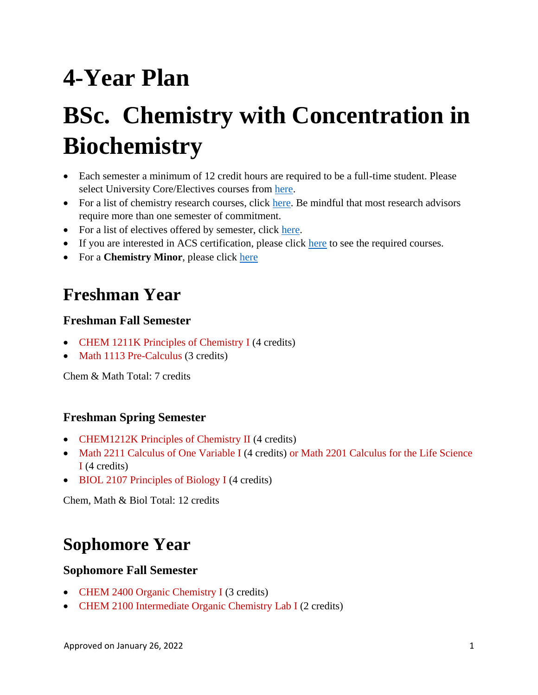# **4-Year Plan**

# **BSc. Chemistry with Concentration in Biochemistry**

- Each semester a minimum of 12 credit hours are required to be a full-time student. Please select University Core/Electives courses from [here.](https://catalogs.gsu.edu/preview_program.php?catoid=4&poid=888)
- For a list of chemistry research courses, click [here.](#page-3-0) Be mindful that most research advisors require more than one semester of commitment.
- For a list of electives offered by semester, click [here.](#page-4-0)
- If you are interested in ACS certification, please click [here](#page-5-0) to see the required courses.
- For a **Chemistry Minor**, please click [here](https://catalogs.gsu.edu/preview_program.php?catoid=4&poid=1152)

# **Freshman Year**

#### **Freshman Fall Semester**

- CHEM 1211K Principles of Chemistry I (4 credits)
- Math 1113 Pre-Calculus (3 credits)

Chem & Math Total: 7 credits

#### **Freshman Spring Semester**

- CHEM1212K Principles of Chemistry II (4 credits)
- Math 2211 Calculus of One Variable I (4 credits) or Math 2201 Calculus for the Life Science I (4 credits)
- BIOL 2107 Principles of Biology I (4 credits)

Chem, Math & Biol Total: 12 credits

# **Sophomore Year**

#### **Sophomore Fall Semester**

- CHEM 2400 Organic Chemistry I (3 credits)
- CHEM 2100 Intermediate Organic Chemistry Lab I (2 credits)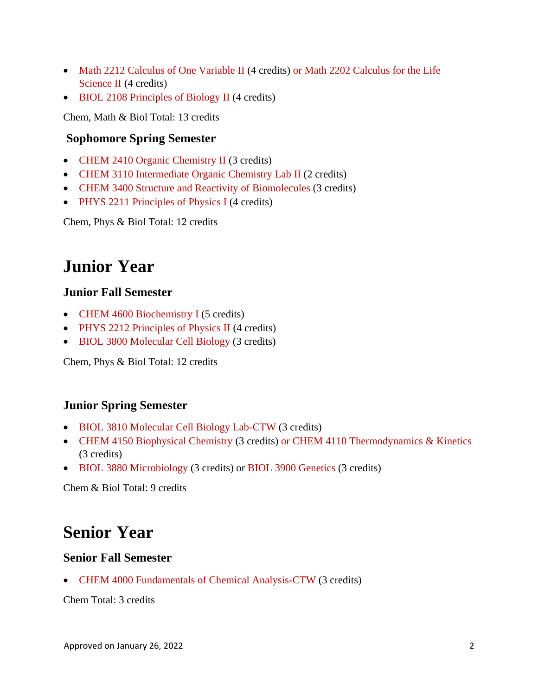- Math 2212 Calculus of One Variable II (4 credits) or Math 2202 Calculus for the Life Science II (4 credits)
- BIOL 2108 Principles of Biology II (4 credits)

Chem, Math & Biol Total: 13 credits

#### **Sophomore Spring Semester**

- CHEM 2410 Organic Chemistry II (3 credits)
- CHEM 3110 Intermediate Organic Chemistry Lab II (2 credits)
- CHEM 3400 Structure and Reactivity of Biomolecules (3 credits)
- PHYS 2211 Principles of Physics I (4 credits)

Chem, Phys & Biol Total: 12 credits

## **Junior Year**

#### **Junior Fall Semester**

- CHEM 4600 Biochemistry I (5 credits)
- PHYS 2212 Principles of Physics II (4 credits)
- BIOL 3800 Molecular Cell Biology (3 credits)

Chem, Phys & Biol Total: 12 credits

#### **Junior Spring Semester**

- BIOL 3810 Molecular Cell Biology Lab-CTW (3 credits)
- CHEM 4150 Biophysical Chemistry (3 credits) or CHEM 4110 Thermodynamics & Kinetics (3 credits)
- BIOL 3880 Microbiology (3 credits) or BIOL 3900 Genetics (3 credits)

Chem & Biol Total: 9 credits

## **Senior Year**

#### **Senior Fall Semester**

• CHEM 4000 Fundamentals of Chemical Analysis-CTW (3 credits)

Chem Total: 3 credits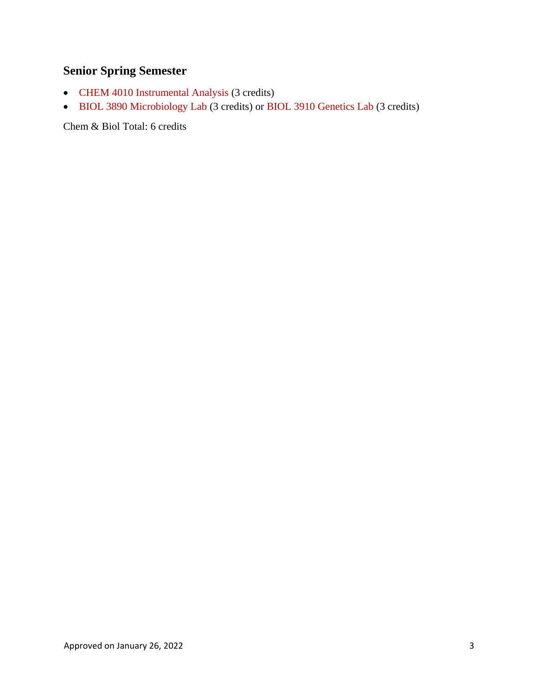### **Senior Spring Semester**

- CHEM 4010 Instrumental Analysis (3 credits)
- BIOL 3890 Microbiology Lab (3 credits) or BIOL 3910 Genetics Lab (3 credits)

Chem & Biol Total: 6 credits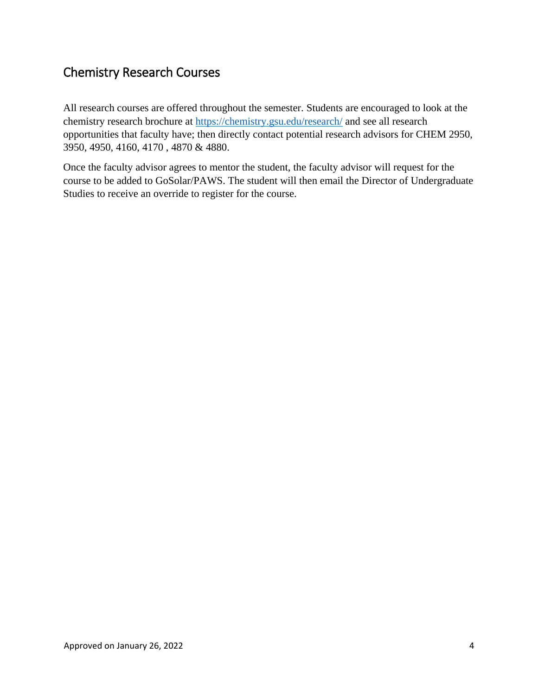### <span id="page-3-0"></span>Chemistry Research Courses

All research courses are offered throughout the semester. Students are encouraged to look at the chemistry research brochure at [https://chemistry.gsu.edu/research/](https://nam11.safelinks.protection.outlook.com/?url=https%3A%2F%2Fchemistry.gsu.edu%2Fresearch%2F&data=04%7C01%7Cjmutanyattacomar%40gsu.edu%7C89a2f0ffa19a4e87ea9608d994a8d6ba%7C515ad73d8d5e4169895c9789dc742a70%7C0%7C0%7C637704275164014981%7CUnknown%7CTWFpbGZsb3d8eyJWIjoiMC4wLjAwMDAiLCJQIjoiV2luMzIiLCJBTiI6Ik1haWwiLCJXVCI6Mn0%3D%7C1000&sdata=EDhl2slrZAnPN8%2Fz%2BsHYUyRfI8F2TyAqp0qt5xeGh1o%3D&reserved=0) and see all research opportunities that faculty have; then directly contact potential research advisors for CHEM 2950, 3950, 4950, 4160, 4170 , 4870 & 4880.

Once the faculty advisor agrees to mentor the student, the faculty advisor will request for the course to be added to GoSolar/PAWS. The student will then email the Director of Undergraduate Studies to receive an override to register for the course.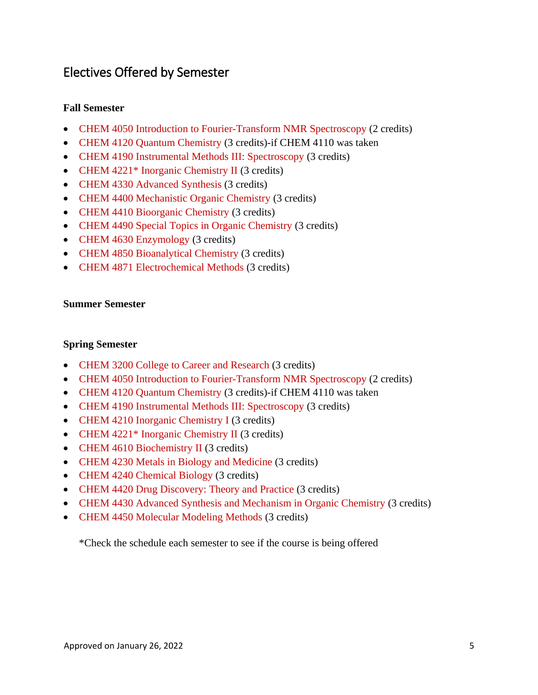### <span id="page-4-0"></span>Electives Offered by Semester

#### **Fall Semester**

- CHEM 4050 Introduction to Fourier-Transform NMR Spectroscopy (2 credits)
- CHEM 4120 Quantum Chemistry (3 credits)-if CHEM 4110 was taken
- CHEM 4190 Instrumental Methods III: Spectroscopy (3 credits)
- CHEM 4221<sup>\*</sup> Inorganic Chemistry II (3 credits)
- CHEM 4330 Advanced Synthesis (3 credits)
- CHEM 4400 Mechanistic Organic Chemistry (3 credits)
- CHEM 4410 Bioorganic Chemistry (3 credits)
- CHEM 4490 Special Topics in Organic Chemistry (3 credits)
- CHEM 4630 Enzymology (3 credits)
- CHEM 4850 Bioanalytical Chemistry (3 credits)
- CHEM 4871 Electrochemical Methods (3 credits)

#### **Summer Semester**

#### **Spring Semester**

- CHEM 3200 College to Career and Research (3 credits)
- CHEM 4050 Introduction to Fourier-Transform NMR Spectroscopy (2 credits)
- CHEM 4120 Quantum Chemistry (3 credits)-if CHEM 4110 was taken
- CHEM 4190 Instrumental Methods III: Spectroscopy (3 credits)
- CHEM 4210 Inorganic Chemistry I (3 credits)
- CHEM 4221\* Inorganic Chemistry II (3 credits)
- CHEM 4610 Biochemistry II (3 credits)
- CHEM 4230 Metals in Biology and Medicine (3 credits)
- CHEM 4240 Chemical Biology (3 credits)
- CHEM 4420 Drug Discovery: Theory and Practice (3 credits)
- CHEM 4430 Advanced Synthesis and Mechanism in Organic Chemistry (3 credits)
- CHEM 4450 Molecular Modeling Methods (3 credits)

\*Check the schedule each semester to see if the course is being offered